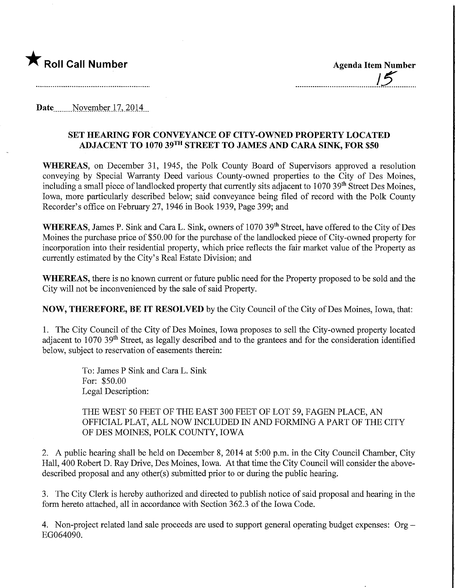

15

Date November 17, 2014

## SET HEARING FOR CONVEYANCE OF CITY-OWNED PROPERTY LOCATED ADJACENT TO 1070 39™ STREET TO JAMES AND CARA SINK, FOR \$50

WHEREAS, on December 31, 1945, the Polk County Board of Supervisors approved a resolution conveying by Special Warranty Deed various County-owned properties to the City of Des Moines, including a small piece of landlocked property that currently sits adjacent to 1070 39<sup>th</sup> Street Des Moines, Iowa, more particularly described below; said conveyance being filed of record with the Polk County Recorder's office on February 27, 1946 in Book 1939, Page 399; and

WHEREAS, James P. Sink and Cara L. Sink, owners of 1070 39<sup>th</sup> Street, have offered to the City of Des Moines the purchase price of \$50.00 for the purchase of the landlocked piece of City-owned property for incorporation into their residential property, which price reflects the fair market value of the Property as currently estimated by the City's Real Estate Division; and

WHEREAS, there is no known current or future public need for the Property proposed to be sold and the City will not be inconvenienced by the sale of said Property.

NOW, THEREFORE, BE IT RESOLVED by the City Council of the City of Des Moines, Iowa, that:

1. The City Council of the City of Des Moines, Iowa proposes to sell the City-owned property located adiacent to 1070 39<sup>th</sup> Street, as legally described and to the grantees and for the consideration identified below, subject to reservation of easements therein:

> To: James P Sink and Cara L. Sink For: \$50.00 Legal Description:

THE WEST 50 FEET OF THE EAST 300 FEET OF LOT 59, FAGEN PLACE, AN OFFICIAL PLAT, ALL NOW INCLUDED IN AND FORMING A PART OF THE CITY OF DES MOINES, POLK COUNTY, IOWA

2. A public hearing shall be held on December 8, 2014 at 5:00 p.m. in the City Council Chamber, City Hall, 400 Robert D. Ray Drive, Des Moines, Iowa. At that time the City Council will consider the abovedescribed proposal and any other(s) submitted prior to or during the public hearing.

3. The City Clerk is hereby authorized and directed to publish notice of said proposal and hearing in the form hereto attached, all in accordance with Section 362.3 of the Iowa Code.

4. Non-project related land sale proceeds are used to support general operating budget expenses: Org EG064090.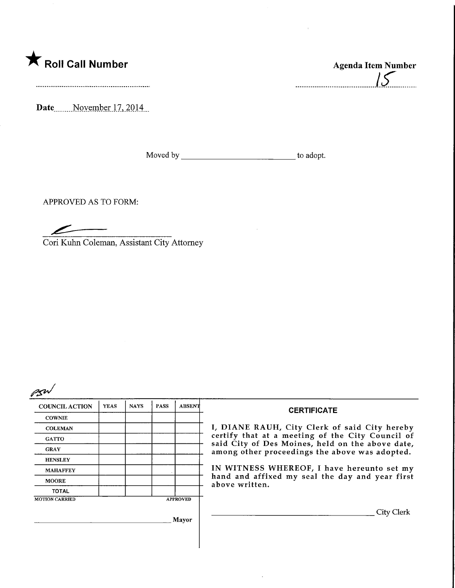

Date........ November 17, 2014

Moved by to adopt.

----------------------------------

APPROVED AS TO FORM:

 $\mathcal{L}% _{M_{1},M_{2}}^{\alpha,\beta}(\varepsilon)=\mathcal{L}_{M_{1},M_{2}}^{\alpha,\beta}(\varepsilon)$ 

Cori Kuhn Coleman, Assistant City Attorney



| . - د، ۲              |             |             |             |                 |                                                                                                                                                                                                        |  |  |
|-----------------------|-------------|-------------|-------------|-----------------|--------------------------------------------------------------------------------------------------------------------------------------------------------------------------------------------------------|--|--|
| <b>COUNCIL ACTION</b> | <b>YEAS</b> | <b>NAYS</b> | <b>PASS</b> | <b>ABSENT</b>   | <b>CERTIFICATE</b>                                                                                                                                                                                     |  |  |
| <b>COWNIE</b>         |             |             |             |                 |                                                                                                                                                                                                        |  |  |
| <b>COLEMAN</b>        |             |             |             |                 | I, DIANE RAUH, City Clerk of said City hereby<br>certify that at a meeting of the City Council of<br>said City of Des Moines, held on the above date<br>among other proceedings the above was adopted. |  |  |
| <b>GATTO</b>          |             |             |             |                 |                                                                                                                                                                                                        |  |  |
| <b>GRAY</b>           |             |             |             |                 |                                                                                                                                                                                                        |  |  |
| <b>HENSLEY</b>        |             |             |             |                 |                                                                                                                                                                                                        |  |  |
| <b>MAHAFFEY</b>       |             |             |             |                 | IN WITNESS WHEREOF, I have hereunto set my<br>hand and affixed my seal the day and year first<br>above written.                                                                                        |  |  |
| <b>MOORE</b>          |             |             |             |                 |                                                                                                                                                                                                        |  |  |
| <b>TOTAL</b>          |             |             |             |                 |                                                                                                                                                                                                        |  |  |
| <b>MOTION CARRIED</b> |             |             |             | <b>APPROVED</b> |                                                                                                                                                                                                        |  |  |
|                       |             |             |             |                 | City Clerk                                                                                                                                                                                             |  |  |
| Mayor                 |             |             |             |                 |                                                                                                                                                                                                        |  |  |
|                       |             |             |             |                 |                                                                                                                                                                                                        |  |  |
|                       |             |             |             |                 |                                                                                                                                                                                                        |  |  |
|                       |             |             |             |                 |                                                                                                                                                                                                        |  |  |

 $\ddot{\phantom{0}}$